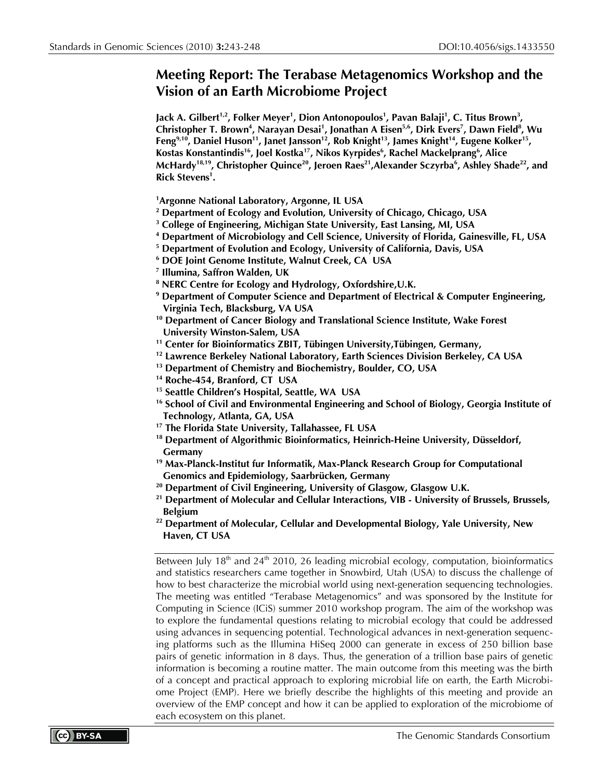### **Meeting Report: The Terabase Metagenomics Workshop and the Vision of an Earth Microbiome Project**

**Jack A. Gilbert1,2, Folker Meyer1 , Dion Antonopoulos1 , Pavan Balaji1 , C. Titus Brown3 , Christopher T. Brown4 , Narayan Desai1 , Jonathan A Eisen5,6, Dirk Evers7 , Dawn Field8 , Wu Feng9,10, Daniel Huson11, Janet Jansson12, Rob Knight13, James Knight14, Eugene Kolker15, Kostas Konstantindis16, Joel Kostka17, Nikos Kyrpides6 , Rachel Mackelprang6 , Alice McHardy18,19, Christopher Quince20, Jeroen Raes21,Alexander Sczyrba6 , Ashley Shade22, and Rick Stevens1 .**

**1 Argonne National Laboratory, Argonne, IL USA**

- **<sup>2</sup> Department of Ecology and Evolution, University of Chicago, Chicago, USA**
- **<sup>3</sup> College of Engineering, Michigan State University, East Lansing, MI, USA**
- **<sup>4</sup> Department of Microbiology and Cell Science, University of Florida, Gainesville, FL, USA**
- **<sup>5</sup> Department of Evolution and Ecology, University of California, Davis, USA**
- **<sup>6</sup> DOE Joint Genome Institute, Walnut Creek, CA USA**
- **<sup>7</sup> Illumina, Saffron Walden, UK**
- **<sup>8</sup> NERC Centre for Ecology and Hydrology, Oxfordshire,U.K.**
- **<sup>9</sup> Department of Computer Science and Department of Electrical & Computer Engineering, Virginia Tech, Blacksburg, VA USA**
- **<sup>10</sup> Department of Cancer Biology and Translational Science Institute, Wake Forest University Winston-Salem, USA**
- **<sup>11</sup> Center for Bioinformatics ZBIT, Tübingen University,Tübingen, Germany,**
- **<sup>12</sup> Lawrence Berkeley National Laboratory, Earth Sciences Division Berkeley, CA USA**
- **<sup>13</sup> Department of Chemistry and Biochemistry, Boulder, CO, USA**
- **<sup>14</sup> Roche-454, Branford, CT USA**
- **<sup>15</sup> Seattle Children's Hospital, Seattle, WA USA**
- **<sup>16</sup> School of Civil and Environmental Engineering and School of Biology, Georgia Institute of Technology, Atlanta, GA, USA**
- **<sup>17</sup> The Florida State University, Tallahassee, FL USA**
- **<sup>18</sup> Department of Algorithmic Bioinformatics, Heinrich-Heine University, Düsseldorf, Germany**
- **<sup>19</sup> Max-Planck-Institut fur Informatik, Max-Planck Research Group for Computational Genomics and Epidemiology, Saarbrücken, Germany**
- **<sup>20</sup> Department of Civil Engineering, University of Glasgow, Glasgow U.K.**
- **<sup>21</sup> Department of Molecular and Cellular Interactions, VIB - University of Brussels, Brussels, Belgium**
- **<sup>22</sup> Department of Molecular, Cellular and Developmental Biology, Yale University, New Haven, CT USA**

Between July  $18<sup>th</sup>$  and  $24<sup>th</sup>$  2010, 26 leading microbial ecology, computation, bioinformatics and statistics researchers came together in Snowbird, Utah (USA) to discuss the challenge of how to best characterize the microbial world using next-generation sequencing technologies. The meeting was entitled "Terabase Metagenomics" and was sponsored by the Institute for Computing in Science (ICiS) summer 2010 workshop program. The aim of the workshop was to explore the fundamental questions relating to microbial ecology that could be addressed using advances in sequencing potential. Technological advances in next-generation sequencing platforms such as the Illumina HiSeq 2000 can generate in excess of 250 billion base pairs of genetic information in 8 days. Thus, the generation of a trillion base pairs of genetic information is becoming a routine matter. The main outcome from this meeting was the birth of a concept and practical approach to exploring microbial life on earth, the Earth Microbiome Project (EMP). Here we briefly describe the highlights of this meeting and provide an overview of the EMP concept and how it can be applied to exploration of the microbiome of each ecosystem on this planet.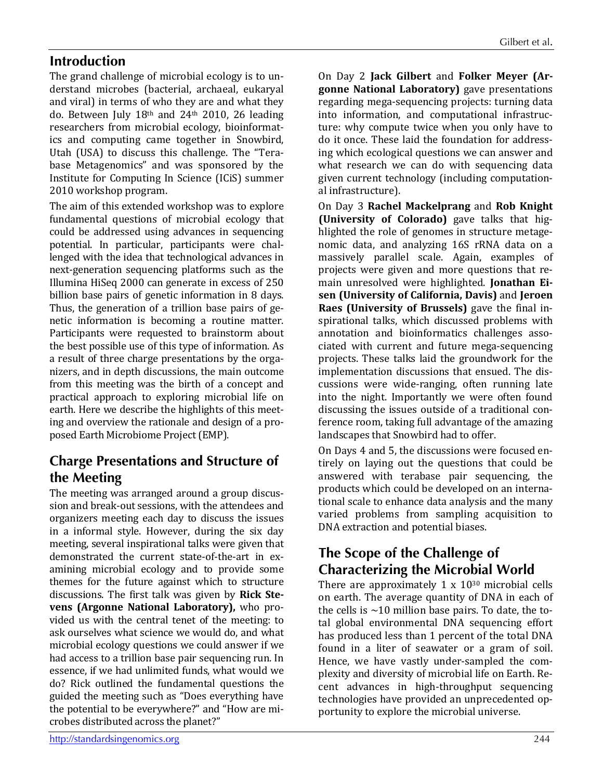### **Introduction**

The grand challenge of microbial ecology is to understand microbes (bacterial, archaeal, eukaryal and viral) in terms of who they are and what they do. Between July 18th and 24th 2010, 26 leading researchers from microbial ecology, bioinformatics and computing came together in Snowbird, Utah (USA) to discuss this challenge. The "Terabase Metagenomics" and was sponsored by the Institute for Computing In Science (ICiS) summer 2010 workshop program.

The aim of this extended workshop was to explore fundamental questions of microbial ecology that could be addressed using advances in sequencing potential. In particular, participants were challenged with the idea that technological advances in next-generation sequencing platforms such as the Illumina HiSeq 2000 can generate in excess of 250 billion base pairs of genetic information in 8 days. Thus, the generation of a trillion base pairs of genetic information is becoming a routine matter. Participants were requested to brainstorm about the best possible use of this type of information. As a result of three charge presentations by the organizers, and in depth discussions, the main outcome from this meeting was the birth of a concept and practical approach to exploring microbial life on earth. Here we describe the highlights of this meeting and overview the rationale and design of a proposed Earth Microbiome Project (EMP).

# **Charge Presentations and Structure of the Meeting**

The meeting was arranged around a group discussion and break-out sessions, with the attendees and organizers meeting each day to discuss the issues in a informal style. However, during the six day meeting, several inspirational talks were given that demonstrated the current state-of-the-art in examining microbial ecology and to provide some themes for the future against which to structure discussions. The first talk was given by **Rick Stevens (Argonne National Laboratory),** who provided us with the central tenet of the meeting: to ask ourselves what science we would do, and what microbial ecology questions we could answer if we had access to a trillion base pair sequencing run. In essence, if we had unlimited funds, what would we do? Rick outlined the fundamental questions the guided the meeting such as "Does everything have the potential to be everywhere?" and "How are microbes distributed across the planet?"

On Day 2 **Jack Gilbert** and **Folker Meyer (Argonne National Laboratory)** gave presentations regarding mega-sequencing projects: turning data into information, and computational infrastructure: why compute twice when you only have to do it once. These laid the foundation for addressing which ecological questions we can answer and what research we can do with sequencing data given current technology (including computational infrastructure).

On Day 3 **Rachel Mackelprang** and **Rob Knight (University of Colorado)** gave talks that highlighted the role of genomes in structure metagenomic data, and analyzing 16S rRNA data on a massively parallel scale. Again, examples of projects were given and more questions that remain unresolved were highlighted. **Jonathan Eisen (University of California, Davis)** and **Jeroen Raes (University of Brussels)** gave the final inspirational talks, which discussed problems with annotation and bioinformatics challenges associated with current and future mega-sequencing projects. These talks laid the groundwork for the implementation discussions that ensued. The discussions were wide-ranging, often running late into the night. Importantly we were often found discussing the issues outside of a traditional conference room, taking full advantage of the amazing landscapes that Snowbird had to offer.

On Days 4 and 5, the discussions were focused entirely on laying out the questions that could be answered with terabase pair sequencing, the products which could be developed on an international scale to enhance data analysis and the many varied problems from sampling acquisition to DNA extraction and potential biases.

# **The Scope of the Challenge of Characterizing the Microbial World**

There are approximately  $1 \times 10^{30}$  microbial cells on earth. The average quantity of DNA in each of the cells is  $\sim$ 10 million base pairs. To date, the total global environmental DNA sequencing effort has produced less than 1 percent of the total DNA found in a liter of seawater or a gram of soil. Hence, we have vastly under-sampled the complexity and diversity of microbial life on Earth. Recent advances in high-throughput sequencing technologies have provided an unprecedented opportunity to explore the microbial universe.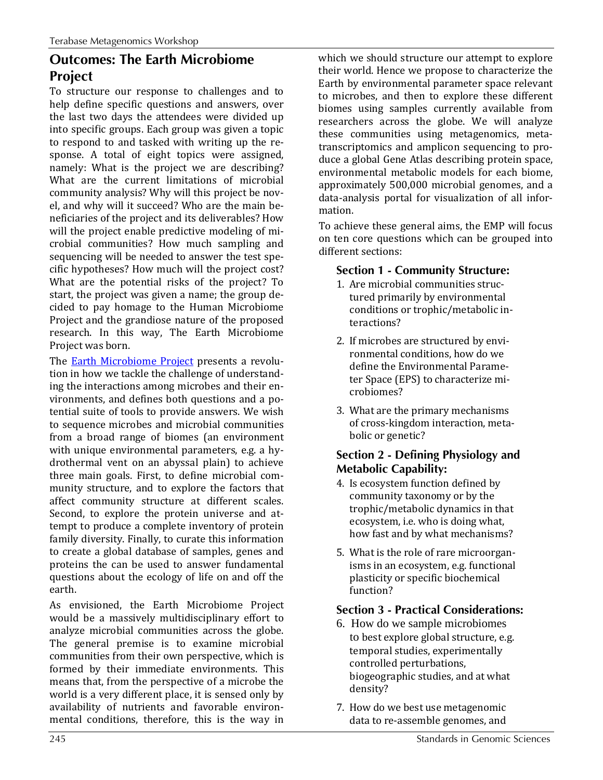# **Outcomes: The Earth Microbiome Project**

To structure our response to challenges and to help define specific questions and answers, over the last two days the attendees were divided up into specific groups. Each group was given a topic to respond to and tasked with writing up the response. A total of eight topics were assigned, namely: What is the project we are describing? What are the current limitations of microbial community analysis? Why will this project be novel, and why will it succeed? Who are the main beneficiaries of the project and its deliverables? How will the project enable predictive modeling of microbial communities? How much sampling and sequencing will be needed to answer the test specific hypotheses? How much will the project cost? What are the potential risks of the project? To start, the project was given a name; the group decided to pay homage to the Human Microbiome Project and the grandiose nature of the proposed research. In this way, The Earth Microbiome Project was born.

The **Earth Microbiome Project** presents a revolution in how we tackle the challenge of understanding the interactions among microbes and their environments, and defines both questions and a potential suite of tools to provide answers. We wish to sequence microbes and microbial communities from a broad range of biomes (an environment with unique environmental parameters, e.g. a hydrothermal vent on an abyssal plain) to achieve three main goals. First, to define microbial community structure, and to explore the factors that affect community structure at different scales. Second, to explore the protein universe and attempt to produce a complete inventory of protein family diversity. Finally, to curate this information to create a global database of samples, genes and proteins the can be used to answer fundamental questions about the ecology of life on and off the earth.

As envisioned, the Earth Microbiome Project would be a massively multidisciplinary effort to analyze microbial communities across the globe. The general premise is to examine microbial communities from their own perspective, which is formed by their immediate environments. This means that, from the perspective of a microbe the world is a very different place, it is sensed only by availability of nutrients and favorable environmental conditions, therefore, this is the way in

which we should structure our attempt to explore their world. Hence we propose to characterize the Earth by environmental parameter space relevant to microbes, and then to explore these different biomes using samples currently available from researchers across the globe. We will analyze these communities using metagenomics, metatranscriptomics and amplicon sequencing to produce a global Gene Atlas describing protein space, environmental metabolic models for each biome, approximately 500,000 microbial genomes, and a data-analysis portal for visualization of all information.

To achieve these general aims, the EMP will focus on ten core questions which can be grouped into different sections:

#### **Section 1 - Community Structure:**

- 1. Are microbial communities structured primarily by environmental conditions or trophic/metabolic interactions?
- 2. If microbes are structured by environmental conditions, how do we define the Environmental Parameter Space (EPS) to characterize microbiomes?
- 3. What are the primary mechanisms of cross-kingdom interaction, metabolic or genetic?

### **Section 2 - Defining Physiology and Metabolic Capability:**

- 4. Is ecosystem function defined by community taxonomy or by the trophic/metabolic dynamics in that ecosystem, i.e. who is doing what, how fast and by what mechanisms?
- 5. What is the role of rare microorganisms in an ecosystem, e.g. functional plasticity or specific biochemical function?

### **Section 3 - Practical Considerations:**

- 6. How do we sample microbiomes to best explore global structure, e.g. temporal studies, experimentally controlled perturbations, biogeographic studies, and at what density?
- 7. How do we best use metagenomic data to re-assemble genomes, and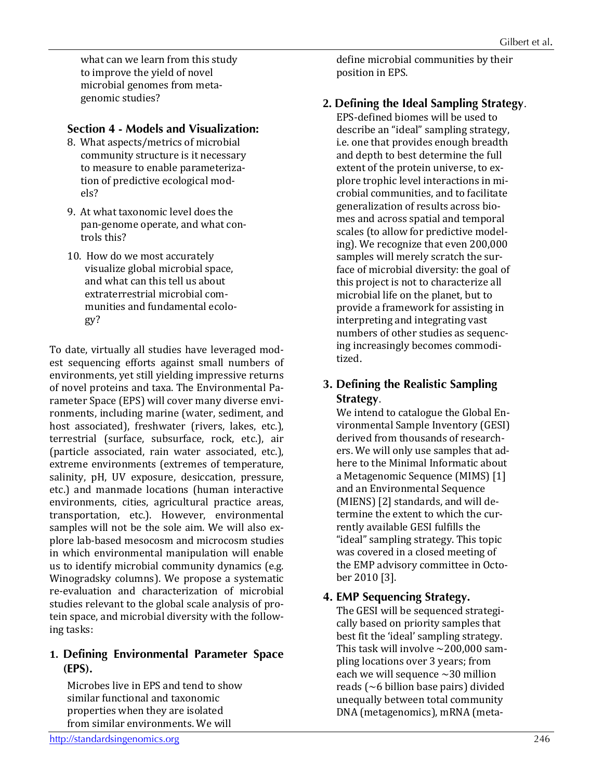what can we learn from this study to improve the yield of novel microbial genomes from metagenomic studies?

#### **Section 4 - Models and Visualization:**

- 8. What aspects/metrics of microbial community structure is it necessary to measure to enable parameterization of predictive ecological models?
- 9. At what taxonomic level does the pan-genome operate, and what controls this?
- 10. How do we most accurately visualize global microbial space, and what can this tell us about extraterrestrial microbial communities and fundamental ecology?

To date, virtually all studies have leveraged modest sequencing efforts against small numbers of environments, yet still yielding impressive returns of novel proteins and taxa. The Environmental Parameter Space (EPS) will cover many diverse environments, including marine (water, sediment, and host associated), freshwater (rivers, lakes, etc.), terrestrial (surface, subsurface, rock, etc.), air (particle associated, rain water associated, etc.), extreme environments (extremes of temperature, salinity, pH, UV exposure, desiccation, pressure, etc.) and manmade locations (human interactive environments, cities, agricultural practice areas, transportation, etc.). However, environmental samples will not be the sole aim. We will also explore lab-based mesocosm and microcosm studies in which environmental manipulation will enable us to identify microbial community dynamics (e.g. Winogradsky columns). We propose a systematic re-evaluation and characterization of microbial studies relevant to the global scale analysis of protein space, and microbial diversity with the following tasks:

### **1. Defining Environmental Parameter Space (EPS).**

Microbes live in EPS and tend to show similar functional and taxonomic properties when they are isolated from similar environments. We will

define microbial communities by their position in EPS.

#### **2. Defining the Ideal Sampling Strategy**.

EPS-defined biomes will be used to describe an "ideal" sampling strategy, i.e. one that provides enough breadth and depth to best determine the full extent of the protein universe, to explore trophic level interactions in microbial communities, and to facilitate generalization of results across biomes and across spatial and temporal scales (to allow for predictive modeling). We recognize that even 200,000 samples will merely scratch the surface of microbial diversity: the goal of this project is not to characterize all microbial life on the planet, but to provide a framework for assisting in interpreting and integrating vast numbers of other studies as sequencing increasingly becomes commoditized.

### **3. Defining the Realistic Sampling Strategy**.

We intend to catalogue the Global Environmental Sample Inventory (GESI) derived from thousands of researchers. We will only use samples that adhere to the Minimal Informatic about a Metagenomic Sequence (MIMS) [1] and an Environmental Sequence (MIENS) [2] standards, and will determine the extent to which the currently available GESI fulfills the "ideal" sampling strategy. This topic was covered in a closed meeting of the EMP advisory committee in October 2010 [3].

### **4. EMP Sequencing Strategy.**

The GESI will be sequenced strategically based on priority samples that best fit the 'ideal' sampling strategy. This task will involve  $\sim$  200,000 sampling locations over 3 years; from each we will sequence ~30 million reads (~6 billion base pairs) divided unequally between total community DNA (metagenomics), mRNA (meta-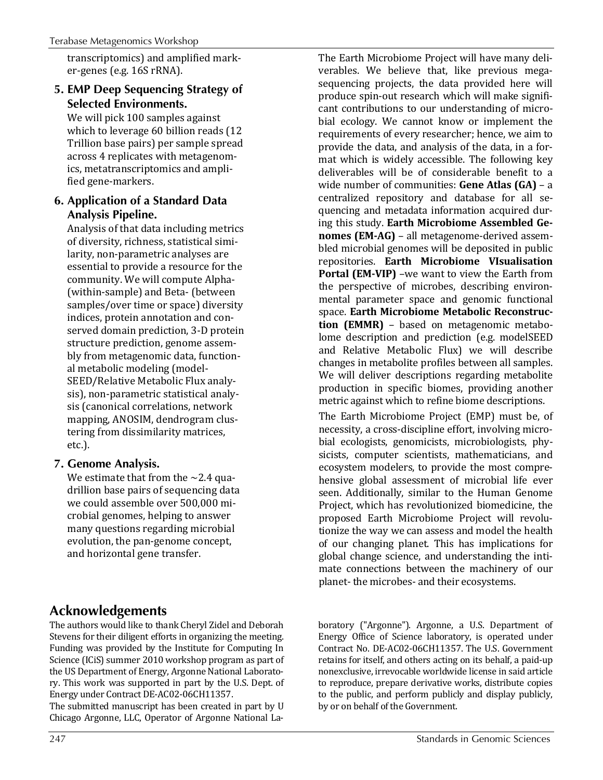transcriptomics) and amplified marker-genes (e.g. 16S rRNA).

#### **5. EMP Deep Sequencing Strategy of Selected Environments.**

We will pick 100 samples against which to leverage 60 billion reads (12 Trillion base pairs) per sample spread across 4 replicates with metagenomics, metatranscriptomics and amplified gene-markers.

#### **6. Application of a Standard Data Analysis Pipeline.**

Analysis of that data including metrics of diversity, richness, statistical similarity, non-parametric analyses are essential to provide a resource for the community. We will compute Alpha- (within-sample) and Beta- (between samples/over time or space) diversity indices, protein annotation and conserved domain prediction, 3-D protein structure prediction, genome assembly from metagenomic data, functional metabolic modeling (model-SEED/Relative Metabolic Flux analysis), non-parametric statistical analysis (canonical correlations, network mapping, ANOSIM, dendrogram clustering from dissimilarity matrices, etc.).

### **7. Genome Analysis.**

We estimate that from the  $\sim$  2.4 quadrillion base pairs of sequencing data we could assemble over 500,000 microbial genomes, helping to answer many questions regarding microbial evolution, the pan-genome concept, and horizontal gene transfer.

# **Acknowledgements**

The authors would like to thank Cheryl Zidel and Deborah Stevens for their diligent efforts in organizing the meeting. Funding was provided by the Institute for Computing In Science (ICiS) summer 2010 workshop program as part of the US Department of Energy, Argonne National Laboratory. This work was supported in part by the U.S. Dept. of Energy under Contract DE-AC02-06CH11357.

The submitted manuscript has been created in part by U Chicago Argonne, LLC, Operator of Argonne National La-

The Earth Microbiome Project will have many deliverables. We believe that, like previous megasequencing projects, the data provided here will produce spin-out research which will make significant contributions to our understanding of microbial ecology. We cannot know or implement the requirements of every researcher; hence, we aim to provide the data, and analysis of the data, in a format which is widely accessible. The following key deliverables will be of considerable benefit to a wide number of communities: **Gene Atlas (GA)** – a centralized repository and database for all sequencing and metadata information acquired during this study. **Earth Microbiome Assembled Genomes (EM-AG)** – all metagenome-derived assembled microbial genomes will be deposited in public repositories. **Earth Microbiome VIsualisation Portal (EM-VIP)** –we want to view the Earth from the perspective of microbes, describing environmental parameter space and genomic functional space. **Earth Microbiome Metabolic Reconstruction (EMMR)** – based on metagenomic metabolome description and prediction (e.g. modelSEED and Relative Metabolic Flux) we will describe changes in metabolite profiles between all samples. We will deliver descriptions regarding metabolite production in specific biomes, providing another metric against which to refine biome descriptions.

The Earth Microbiome Project (EMP) must be, of necessity, a cross-discipline effort, involving microbial ecologists, genomicists, microbiologists, physicists, computer scientists, mathematicians, and ecosystem modelers, to provide the most comprehensive global assessment of microbial life ever seen. Additionally, similar to the Human Genome Project, which has revolutionized biomedicine, the proposed Earth Microbiome Project will revolutionize the way we can assess and model the health of our changing planet. This has implications for global change science, and understanding the intimate connections between the machinery of our planet- the microbes- and their ecosystems.

boratory ("Argonne"). Argonne, a U.S. Department of Energy Office of Science laboratory, is operated under Contract No. DE-AC02-06CH11357. The U.S. Government retains for itself, and others acting on its behalf, a paid-up nonexclusive, irrevocable worldwide license in said article to reproduce, prepare derivative works, distribute copies to the public, and perform publicly and display publicly, by or on behalf of the Government.